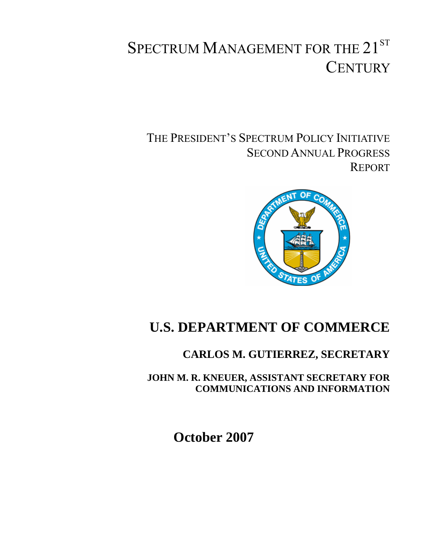# SPECTRUM MANAGEMENT FOR THE 21ST **CENTURY**

THE PRESIDENT'S SPECTRUM POLICY INITIATIVE SECOND ANNUAL PROGRESS REPORT



## **U.S. DEPARTMENT OF COMMERCE**

## **CARLOS M. GUTIERREZ, SECRETARY**

**JOHN M. R. KNEUER, ASSISTANT SECRETARY FOR COMMUNICATIONS AND INFORMATION** 

**October 2007**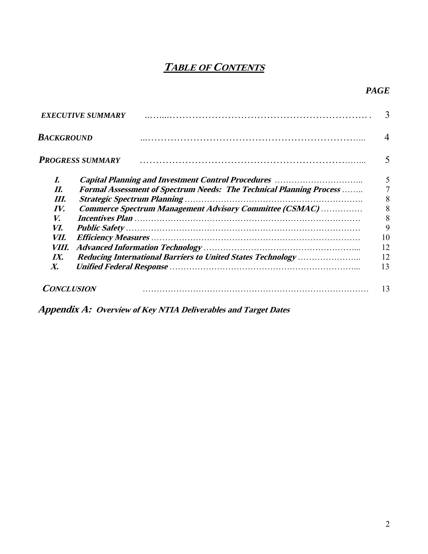## **TABLE OF CONTENTS**

### *PAGE*

|                    | <b>EXECUTIVE SUMMARY</b>                                                    |    |
|--------------------|-----------------------------------------------------------------------------|----|
| BACKGROUND         |                                                                             |    |
|                    | <b>PROGRESS SUMMARY</b>                                                     |    |
| I.                 |                                                                             | 5  |
| П.                 | <b>Formal Assessment of Spectrum Needs: The Technical Planning Process </b> |    |
| HI.                |                                                                             | 8  |
| IV.                | Commerce Spectrum Management Advisory Committee (CSMAC)                     | 8  |
| V.                 |                                                                             | 8  |
| VI.                |                                                                             | 9  |
| VII.               |                                                                             | 10 |
| <i>VIII.</i>       |                                                                             | 12 |
| $I\!X$ .           |                                                                             | 12 |
| $\boldsymbol{X}$ . |                                                                             | 13 |
| <b>CONCLUSION</b>  |                                                                             | 13 |

**Appendix A: Overview of Key NTIA Deliverables and Target Dates**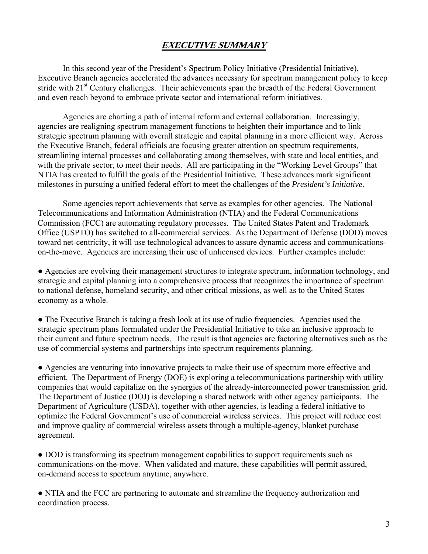#### **EXECUTIVE SUMMARY**

In this second year of the President's Spectrum Policy Initiative (Presidential Initiative), Executive Branch agencies accelerated the advances necessary for spectrum management policy to keep stride with  $21<sup>st</sup>$  Century challenges. Their achievements span the breadth of the Federal Government and even reach beyond to embrace private sector and international reform initiatives.

Agencies are charting a path of internal reform and external collaboration. Increasingly, agencies are realigning spectrum management functions to heighten their importance and to link strategic spectrum planning with overall strategic and capital planning in a more efficient way. Across the Executive Branch, federal officials are focusing greater attention on spectrum requirements, streamlining internal processes and collaborating among themselves, with state and local entities, and with the private sector, to meet their needs. All are participating in the "Working Level Groups" that NTIA has created to fulfill the goals of the Presidential Initiative*.* These advances mark significant milestones in pursuing a unified federal effort to meet the challenges of the *President's Initiative.*

Some agencies report achievements that serve as examples for other agencies. The National Telecommunications and Information Administration (NTIA) and the Federal Communications Commission (FCC) are automating regulatory processes. The United States Patent and Trademark Office (USPTO) has switched to all-commercial services. As the Department of Defense (DOD) moves toward net-centricity, it will use technological advances to assure dynamic access and communicationson-the-move. Agencies are increasing their use of unlicensed devices. Further examples include:

● Agencies are evolving their management structures to integrate spectrum, information technology, and strategic and capital planning into a comprehensive process that recognizes the importance of spectrum to national defense, homeland security, and other critical missions, as well as to the United States economy as a whole.

• The Executive Branch is taking a fresh look at its use of radio frequencies. Agencies used the strategic spectrum plans formulated under the Presidential Initiative to take an inclusive approach to their current and future spectrum needs. The result is that agencies are factoring alternatives such as the use of commercial systems and partnerships into spectrum requirements planning.

● Agencies are venturing into innovative projects to make their use of spectrum more effective and efficient. The Department of Energy (DOE) is exploring a telecommunications partnership with utility companies that would capitalize on the synergies of the already-interconnected power transmission grid. The Department of Justice (DOJ) is developing a shared network with other agency participants. The Department of Agriculture (USDA), together with other agencies, is leading a federal initiative to optimize the Federal Government's use of commercial wireless services. This project will reduce cost and improve quality of commercial wireless assets through a multiple-agency, blanket purchase agreement.

● DOD is transforming its spectrum management capabilities to support requirements such as communications-on the-move. When validated and mature, these capabilities will permit assured, on-demand access to spectrum anytime, anywhere.

• NTIA and the FCC are partnering to automate and streamline the frequency authorization and coordination process.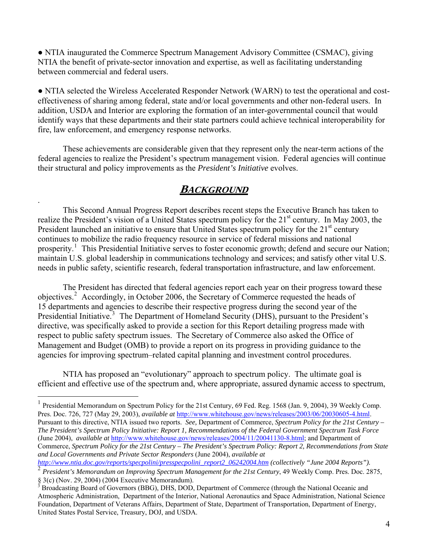• NTIA inaugurated the Commerce Spectrum Management Advisory Committee (CSMAC), giving NTIA the benefit of private-sector innovation and expertise, as well as facilitating understanding between commercial and federal users.

● NTIA selected the Wireless Accelerated Responder Network (WARN) to test the operational and costeffectiveness of sharing among federal, state and/or local governments and other non-federal users. In addition, USDA and Interior are exploring the formation of an inter-governmental council that would identify ways that these departments and their state partners could achieve technical interoperability for fire, law enforcement, and emergency response networks.

 These achievements are considerable given that they represent only the near-term actions of the federal agencies to realize the President's spectrum management vision. Federal agencies will continue their structural and policy improvements as the *President's Initiative* evolves.

## **BACKGROUND**

.

 $\overline{a}$ 

 This Second Annual Progress Report describes recent steps the Executive Branch has taken to realize the President's vision of a United States spectrum policy for the 21<sup>st</sup> century. In May 2003, the President launched an initiative to ensure that United States spectrum policy for the 21<sup>st</sup> century continues to mobilize the radio frequency resource in service of federal missions and national prosperity.<sup>[1](#page-3-0)</sup> This Presidential Initiative serves to foster economic growth; defend and secure our Nation; maintain U.S. global leadership in communications technology and services; and satisfy other vital U.S. needs in public safety, scientific research, federal transportation infrastructure, and law enforcement.

 The President has directed that federal agencies report each year on their progress toward these objectives.<sup>[2](#page-3-1)</sup> Accordingly, in October 2006, the Secretary of Commerce requested the heads of 15 departments and agencies to describe their respective progress during the second year of the Presidential Initiative.<sup>[3](#page-3-2)</sup> The Department of Homeland Security (DHS), pursuant to the President's directive, was specifically asked to provide a section for this Report detailing progress made with respect to public safety spectrum issues. The Secretary of Commerce also asked the Office of Management and Budget (OMB) to provide a report on its progress in providing guidance to the agencies for improving spectrum–related capital planning and investment control procedures.

NTIA has proposed an "evolutionary" approach to spectrum policy. The ultimate goal is efficient and effective use of the spectrum and, where appropriate, assured dynamic access to spectrum,

*[http://www.ntia.doc.gov/reports/specpolini/presspecpolini\\_report2\\_06242004.htm](http://www.ntia.doc.gov/reports/specpolini/presspecpolini_report2_06242004.htm) (collectively "June 2004 Reports").* 

<span id="page-3-0"></span><sup>&</sup>lt;sup>1</sup> Presidential Memorandum on Spectrum Policy for the 21st Century, 69 Fed. Reg. 1568 (Jan. 9, 2004), 39 Weekly Comp. Pres. Doc. 726, 727 (May 29, 2003), *available at* <http://www.whitehouse.gov/news/releases/2003/06/20030605-4.html>. Pursuant to this directive, NTIA issued two reports. *See,* Department of Commerce, *Spectrum Policy for the 21st Century – The President's Spectrum Policy Initiative: Report 1, Recommendations of the Federal Government Spectrum Task Force* (June 2004), *available at* <http://www.whitehouse.gov/news/releases/2004/11/20041130-8.html>; and Department of Commerce, *Spectrum Policy for the 21st Century – The President's Spectrum Policy: Report 2, Recommendations from State and Local Governments and Private Sector Responders* (June 2004), *available at*

<span id="page-3-1"></span><sup>2</sup> *President's Memorandum on Improving Spectrum Management for the 21st Century*, 49 Weekly Comp. Pres. Doc. 2875,  $\S$  3(c) (Nov. 29, 2004) (2004 Executive Memorandum).

<span id="page-3-2"></span>Broadcasting Board of Governors (BBG), DHS, DOD, Department of Commerce (through the National Oceanic and Atmospheric Administration, Department of the Interior, National Aeronautics and Space Administration, National Science Foundation, Department of Veterans Affairs, Department of State, Department of Transportation, Department of Energy, United States Postal Service, Treasury, DOJ, and USDA.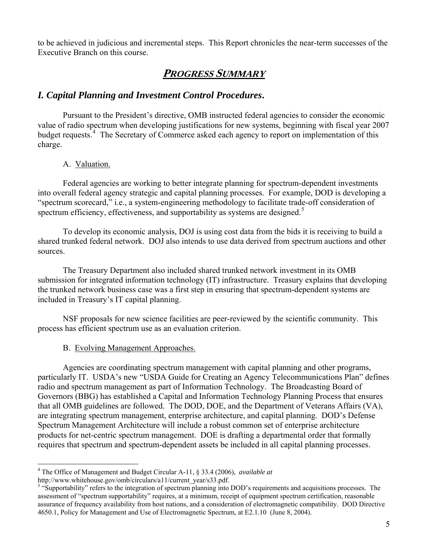to be achieved in judicious and incremental steps. This Report chronicles the near-term successes of the Executive Branch on this course.

## **PROGRESS SUMMARY**

#### *I. Capital Planning and Investment Control Procedures***.**

Pursuant to the President's directive, OMB instructed federal agencies to consider the economic value of radio spectrum when developing justifications for new systems, beginning with fiscal year 2007 budget requests.<sup>[4](#page-4-0)</sup> The Secretary of Commerce asked each agency to report on implementation of this charge.

#### A. Valuation.

 $\overline{a}$ 

Federal agencies are working to better integrate planning for spectrum-dependent investments into overall federal agency strategic and capital planning processes. For example, DOD is developing a "spectrum scorecard," i.e., a system-engineering methodology to facilitate trade-off consideration of spectrum efficiency, effectiveness, and supportability as systems are designed.<sup>[5](#page-4-1)</sup>

To develop its economic analysis, DOJ is using cost data from the bids it is receiving to build a shared trunked federal network. DOJ also intends to use data derived from spectrum auctions and other sources.

The Treasury Department also included shared trunked network investment in its OMB submission for integrated information technology (IT) infrastructure. Treasury explains that developing the trunked network business case was a first step in ensuring that spectrum-dependent systems are included in Treasury's IT capital planning.

NSF proposals for new science facilities are peer-reviewed by the scientific community. This process has efficient spectrum use as an evaluation criterion.

#### B. Evolving Management Approaches.

Agencies are coordinating spectrum management with capital planning and other programs, particularly IT. USDA's new "USDA Guide for Creating an Agency Telecommunications Plan" defines radio and spectrum management as part of Information Technology. The Broadcasting Board of Governors (BBG) has established a Capital and Information Technology Planning Process that ensures that all OMB guidelines are followed. The DOD, DOE, and the Department of Veterans Affairs (VA), are integrating spectrum management, enterprise architecture, and capital planning. DOD's Defense Spectrum Management Architecture will include a robust common set of enterprise architecture products for net-centric spectrum management. DOE is drafting a departmental order that formally requires that spectrum and spectrum-dependent assets be included in all capital planning processes.

<span id="page-4-0"></span><sup>4</sup> The Office of Management and Budget Circular A-11, § 33.4 (2006), *available at*  http://www.whitehouse.gov/omb/circulars/a11/current\_year/s33.pdf.

<span id="page-4-1"></span><sup>&</sup>lt;sup>5</sup> "Supportability" refers to the integration of spectrum planning into DOD's requirements and acquisitions processes. The assessment of "spectrum supportability" requires, at a minimum, receipt of equipment spectrum certification, reasonable assurance of frequency availability from host nations, and a consideration of electromagnetic compatibility. DOD Directive 4650.1, Policy for Management and Use of Electromagnetic Spectrum, at E2.1.10 (June 8, 2004).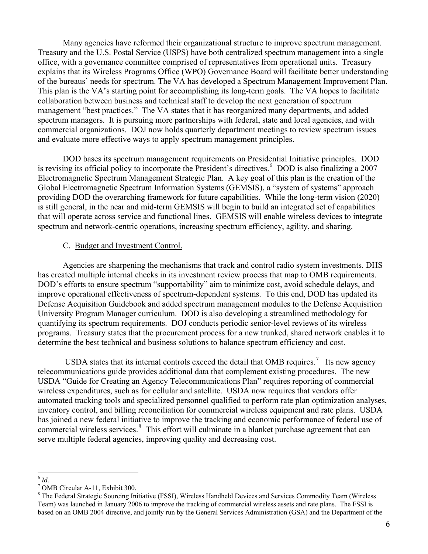Many agencies have reformed their organizational structure to improve spectrum management. Treasury and the U.S. Postal Service (USPS) have both centralized spectrum management into a single office, with a governance committee comprised of representatives from operational units. Treasury explains that its Wireless Programs Office (WPO) Governance Board will facilitate better understanding of the bureaus' needs for spectrum. The VA has developed a Spectrum Management Improvement Plan. This plan is the VA's starting point for accomplishing its long-term goals. The VA hopes to facilitate collaboration between business and technical staff to develop the next generation of spectrum management "best practices." The VA states that it has reorganized many departments, and added spectrum managers. It is pursuing more partnerships with federal, state and local agencies, and with commercial organizations. DOJ now holds quarterly department meetings to review spectrum issues and evaluate more effective ways to apply spectrum management principles.

DOD bases its spectrum management requirements on Presidential Initiative principles. DOD is revising its official policy to incorporate the President's directives.<sup>[6](#page-5-0)</sup> DOD is also finalizing a 2007 Electromagnetic Spectrum Management Strategic Plan. A key goal of this plan is the creation of the Global Electromagnetic Spectrum Information Systems (GEMSIS), a "system of systems" approach providing DOD the overarching framework for future capabilities. While the long-term vision (2020) is still general, in the near and mid-term GEMSIS will begin to build an integrated set of capabilities that will operate across service and functional lines. GEMSIS will enable wireless devices to integrate spectrum and network-centric operations, increasing spectrum efficiency, agility, and sharing.

#### C. Budget and Investment Control.

Agencies are sharpening the mechanisms that track and control radio system investments. DHS has created multiple internal checks in its investment review process that map to OMB requirements. DOD's efforts to ensure spectrum "supportability" aim to minimize cost, avoid schedule delays, and improve operational effectiveness of spectrum-dependent systems. To this end, DOD has updated its Defense Acquisition Guidebook and added spectrum management modules to the Defense Acquisition University Program Manager curriculum. DOD is also developing a streamlined methodology for quantifying its spectrum requirements. DOJ conducts periodic senior-level reviews of its wireless programs. Treasury states that the procurement process for a new trunked, shared network enables it to determine the best technical and business solutions to balance spectrum efficiency and cost.

USDA states that its internal controls exceed the detail that OMB requires.<sup>[7](#page-5-1)</sup> Its new agency telecommunications guide provides additional data that complement existing procedures. The new USDA "Guide for Creating an Agency Telecommunications Plan" requires reporting of commercial wireless expenditures, such as for cellular and satellite. USDA now requires that vendors offer automated tracking tools and specialized personnel qualified to perform rate plan optimization analyses, inventory control, and billing reconciliation for commercial wireless equipment and rate plans. USDA has joined a new federal initiative to improve the tracking and economic performance of federal use of commercial wireless services.<sup>[8](#page-5-2)</sup> This effort will culminate in a blanket purchase agreement that can serve multiple federal agencies, improving quality and decreasing cost.

 $\overline{a}$  $^{6}$  *Id.*  $^{7}$   $\Omega_{\rm M}$ 

<span id="page-5-1"></span><span id="page-5-0"></span>OMB Circular A-11, Exhibit 300.

<span id="page-5-2"></span><sup>&</sup>lt;sup>8</sup> The Federal Strategic Sourcing Initiative (FSSI), Wireless Handheld Devices and Services Commodity Team (Wireless Team) was launched in January 2006 to improve the tracking of commercial wireless assets and rate plans. The FSSI is based on an OMB 2004 directive, and jointly run by the General Services Administration (GSA) and the Department of the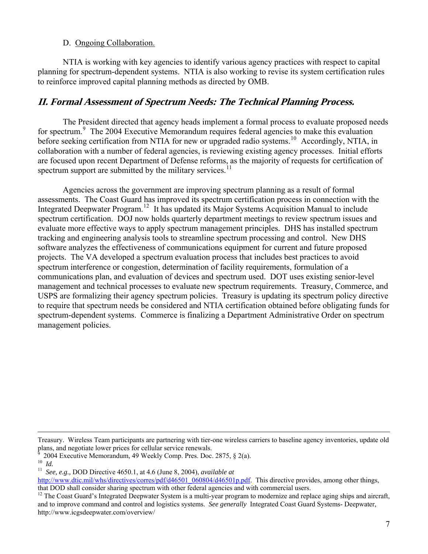#### D. Ongoing Collaboration.

NTIA is working with key agencies to identify various agency practices with respect to capital planning for spectrum-dependent systems. NTIA is also working to revise its system certification rules to reinforce improved capital planning methods as directed by OMB.

#### **II. Formal Assessment of Spectrum Needs: The Technical Planning Process.**

The President directed that agency heads implement a formal process to evaluate proposed needs for spectrum.<sup>[9](#page-6-0)</sup> The 2004 Executive Memorandum requires federal agencies to make this evaluation before seeking certification from NTIA for new or upgraded radio systems.<sup>[10](#page-6-1)</sup> Accordingly, NTIA, in collaboration with a number of federal agencies, is reviewing existing agency processes. Initial efforts are focused upon recent Department of Defense reforms, as the majority of requests for certification of spectrum support are submitted by the military services.<sup>[11](#page-6-2)</sup>

Agencies across the government are improving spectrum planning as a result of formal assessments. The Coast Guard has improved its spectrum certification process in connection with the Integrated Deepwater Program.<sup>[12](#page-6-3)</sup> It has updated its Major Systems Acquisition Manual to include spectrum certification. DOJ now holds quarterly department meetings to review spectrum issues and evaluate more effective ways to apply spectrum management principles. DHS has installed spectrum tracking and engineering analysis tools to streamline spectrum processing and control. New DHS software analyzes the effectiveness of communications equipment for current and future proposed projects. The VA developed a spectrum evaluation process that includes best practices to avoid spectrum interference or congestion, determination of facility requirements, formulation of a communications plan, and evaluation of devices and spectrum used. DOT uses existing senior-level management and technical processes to evaluate new spectrum requirements. Treasury, Commerce, and USPS are formalizing their agency spectrum policies. Treasury is updating its spectrum policy directive to require that spectrum needs be considered and NTIA certification obtained before obligating funds for spectrum-dependent systems. Commerce is finalizing a Department Administrative Order on spectrum management policies.

Treasury. Wireless Team participants are partnering with tier-one wireless carriers to baseline agency inventories, update old plans, and negotiate lower prices for cellular service renewals.

<span id="page-6-1"></span><span id="page-6-0"></span><sup>9</sup>  $^{9}$  2004 Executive Memorandum, 49 Weekly Comp. Pres. Doc. 2875, § 2(a). 10  $_{1d}$ 

<span id="page-6-2"></span><sup>10</sup>*Id.* <sup>11</sup>*See, e.g.,* DOD Directive 4650.1, at 4.6 (June 8, 2004), *available at*

[http://www.dtic.mil/whs/directives/corres/pdf/d46501\\_060804/d46501p.pdf](http://www.dtic.mil/whs/directives/corres/pdf/d46501_060804/d46501p.pdf). This directive provides, among other things, that DOD shall consider sharing spectrum with other federal agencies and with commercial users.

<span id="page-6-3"></span> $12$  The Coast Guard's Integrated Deepwater System is a multi-year program to modernize and replace aging ships and aircraft, and to improve command and control and logistics systems. *See generally* Integrated Coast Guard Systems- Deepwater, http://www.icgsdeepwater.com/overview/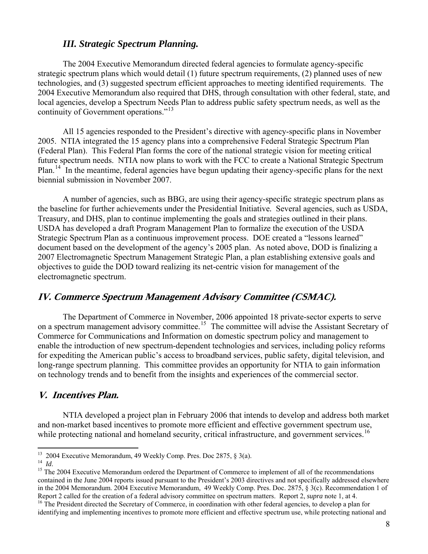#### *III. Strategic Spectrum Planning.*

The 2004 Executive Memorandum directed federal agencies to formulate agency-specific strategic spectrum plans which would detail (1) future spectrum requirements, (2) planned uses of new technologies, and (3) suggested spectrum efficient approaches to meeting identified requirements. The 2004 Executive Memorandum also required that DHS, through consultation with other federal, state, and local agencies, develop a Spectrum Needs Plan to address public safety spectrum needs, as well as the continuity of Government operations."<sup>[13](#page-7-0)</sup>

All 15 agencies responded to the President's directive with agency-specific plans in November 2005. NTIA integrated the 15 agency plans into a comprehensive Federal Strategic Spectrum Plan (Federal Plan). This Federal Plan forms the core of the national strategic vision for meeting critical future spectrum needs. NTIA now plans to work with the FCC to create a National Strategic Spectrum Plan.<sup>[14](#page-7-1)</sup> In the meantime, federal agencies have begun updating their agency-specific plans for the next biennial submission in November 2007.

A number of agencies, such as BBG, are using their agency-specific strategic spectrum plans as the baseline for further achievements under the Presidential Initiative*.* Several agencies, such as USDA, Treasury, and DHS, plan to continue implementing the goals and strategies outlined in their plans. USDA has developed a draft Program Management Plan to formalize the execution of the USDA Strategic Spectrum Plan as a continuous improvement process. DOE created a "lessons learned" document based on the development of the agency's 2005 plan. As noted above, DOD is finalizing a 2007 Electromagnetic Spectrum Management Strategic Plan, a plan establishing extensive goals and objectives to guide the DOD toward realizing its net-centric vision for management of the electromagnetic spectrum.

#### **IV. Commerce Spectrum Management Advisory Committee (CSMAC).**

The Department of Commerce in November, 2006 appointed 18 private-sector experts to serve on a spectrum management advisory committee.<sup>[15](#page-7-2)</sup> The committee will advise the Assistant Secretary of Commerce for Communications and Information on domestic spectrum policy and management to enable the introduction of new spectrum-dependent technologies and services, including policy reforms for expediting the American public's access to broadband services, public safety, digital television, and long-range spectrum planning. This committee provides an opportunity for NTIA to gain information on technology trends and to benefit from the insights and experiences of the commercial sector.

#### **V. Incentives Plan.**

NTIA developed a project plan in February 2006 that intends to develop and address both market and non-market based incentives to promote more efficient and effective government spectrum use, while protecting national and homeland security, critical infrastructure, and government services.<sup>[16](#page-7-3)</sup>

 $\overline{a}$ 

 $13$  2004 Executive Memorandum, 49 Weekly Comp. Pres. Doc 2875, § 3(a).

<span id="page-7-2"></span><span id="page-7-1"></span><span id="page-7-0"></span><sup>&</sup>lt;sup>14</sup> *Id.*<br><sup>15</sup> The 2004 Executive Memorandum ordered the Department of Commerce to implement of all of the recommendations contained in the June 2004 reports issued pursuant to the President's 2003 directives and not specifically addressed elsewhere in the 2004 Memorandum. 2004 Executive Memorandum, 49 Weekly Comp. Pres. Doc. 2875, § 3(c). Recommendation 1 of Report 2 called for the creation of a federal advisory committee on spectrum matters. Report 2, *supra* note 1

<span id="page-7-3"></span><sup>&</sup>lt;sup>16</sup> The President directed the Secretary of Commerce, in coordination with other federal agencies, to develop a plan for identifying and implementing incentives to promote more efficient and effective spectrum use, while protecting national and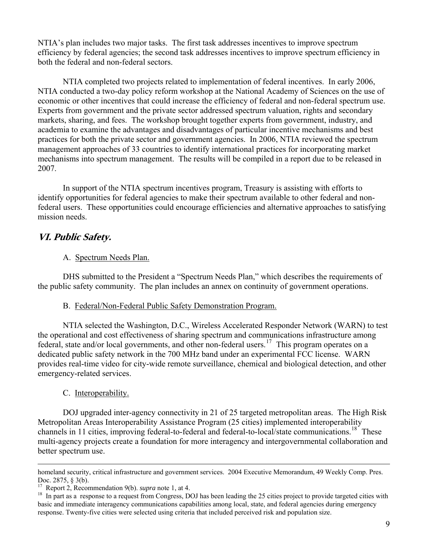NTIA's plan includes two major tasks. The first task addresses incentives to improve spectrum efficiency by federal agencies; the second task addresses incentives to improve spectrum efficiency in both the federal and non-federal sectors.

NTIA completed two projects related to implementation of federal incentives. In early 2006, NTIA conducted a two-day policy reform workshop at the National Academy of Sciences on the use of economic or other incentives that could increase the efficiency of federal and non-federal spectrum use. Experts from government and the private sector addressed spectrum valuation, rights and secondary markets, sharing, and fees. The workshop brought together experts from government, industry, and academia to examine the advantages and disadvantages of particular incentive mechanisms and best practices for both the private sector and government agencies. In 2006, NTIA reviewed the spectrum management approaches of 33 countries to identify international practices for incorporating market mechanisms into spectrum management. The results will be compiled in a report due to be released in 2007.

In support of the NTIA spectrum incentives program, Treasury is assisting with efforts to identify opportunities for federal agencies to make their spectrum available to other federal and nonfederal users. These opportunities could encourage efficiencies and alternative approaches to satisfying mission needs.

#### **VI. Public Safety.**

#### A. Spectrum Needs Plan.

DHS submitted to the President a "Spectrum Needs Plan," which describes the requirements of the public safety community. The plan includes an annex on continuity of government operations.

#### B. Federal/Non-Federal Public Safety Demonstration Program.

NTIA selected the Washington, D.C., Wireless Accelerated Responder Network (WARN) to test the operational and cost effectiveness of sharing spectrum and communications infrastructure among federal, state and/or local governments, and other non-federal users.<sup>[17](#page-8-0)</sup> This program operates on a dedicated public safety network in the 700 MHz band under an experimental FCC license. WARN provides real-time video for city-wide remote surveillance, chemical and biological detection, and other emergency-related services.

#### C. Interoperability.

DOJ upgraded inter-agency connectivity in 21 of 25 targeted metropolitan areas. The High Risk Metropolitan Areas Interoperability Assistance Program (25 cities) implemented interoperability channels in 11 cities, improving federal-to-federal and federal-to-local/state communications.<sup>[18](#page-8-1)</sup> These multi-agency projects create a foundation for more interagency and intergovernmental collaboration and better spectrum use.

homeland security, critical infrastructure and government services. 2004 Executive Memorandum, 49 Weekly Comp. Pres. Doc. 2875, § 3(b).

<span id="page-8-1"></span><span id="page-8-0"></span><sup>&</sup>lt;sup>17</sup> Report 2, Recommendation 9(b). *supra* note 1, at 4.<br><sup>18</sup> In part as a response to a request from Congress, DOJ has been leading the 25 cities project to provide targeted cities with basic and immediate interagency communications capabilities among local, state, and federal agencies during emergency response. Twenty-five cities were selected using criteria that included perceived risk and population size.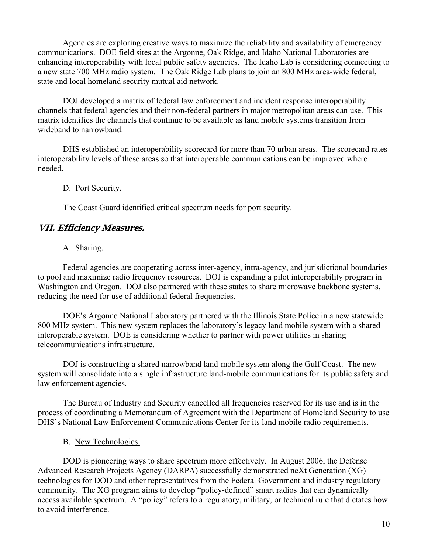Agencies are exploring creative ways to maximize the reliability and availability of emergency communications. DOE field sites at the Argonne, Oak Ridge, and Idaho National Laboratories are enhancing interoperability with local public safety agencies. The Idaho Lab is considering connecting to a new state 700 MHz radio system. The Oak Ridge Lab plans to join an 800 MHz area-wide federal, state and local homeland security mutual aid network.

DOJ developed a matrix of federal law enforcement and incident response interoperability channels that federal agencies and their non-federal partners in major metropolitan areas can use. This matrix identifies the channels that continue to be available as land mobile systems transition from wideband to narrowband.

DHS established an interoperability scorecard for more than 70 urban areas. The scorecard rates interoperability levels of these areas so that interoperable communications can be improved where needed.

#### D. Port Security.

The Coast Guard identified critical spectrum needs for port security.

#### **VII. Efficiency Measures.**

A. Sharing.

Federal agencies are cooperating across inter-agency, intra-agency, and jurisdictional boundaries to pool and maximize radio frequency resources. DOJ is expanding a pilot interoperability program in Washington and Oregon. DOJ also partnered with these states to share microwave backbone systems, reducing the need for use of additional federal frequencies.

DOE's Argonne National Laboratory partnered with the Illinois State Police in a new statewide 800 MHz system. This new system replaces the laboratory's legacy land mobile system with a shared interoperable system. DOE is considering whether to partner with power utilities in sharing telecommunications infrastructure.

DOJ is constructing a shared narrowband land-mobile system along the Gulf Coast. The new system will consolidate into a single infrastructure land-mobile communications for its public safety and law enforcement agencies.

 The Bureau of Industry and Security cancelled all frequencies reserved for its use and is in the process of coordinating a Memorandum of Agreement with the Department of Homeland Security to use DHS's National Law Enforcement Communications Center for its land mobile radio requirements.

B. New Technologies.

DOD is pioneering ways to share spectrum more effectively. In August 2006, the Defense Advanced Research Projects Agency (DARPA) successfully demonstrated neXt Generation (XG) technologies for DOD and other representatives from the Federal Government and industry regulatory community. The XG program aims to develop "policy-defined" smart radios that can dynamically access available spectrum. A "policy" refers to a regulatory, military, or technical rule that dictates how to avoid interference.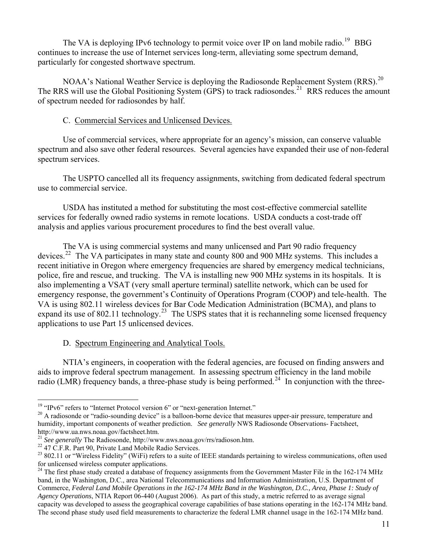The VA is deploying IPv6 technology to permit voice over IP on land mobile radio.<sup>[19](#page-10-0)</sup> BBG continues to increase the use of Internet services long-term, alleviating some spectrum demand, particularly for congested shortwave spectrum.

NOAA's National Weather Service is deploying the Radiosonde Replacement System (RRS).<sup>[20](#page-10-1)</sup> The RRS will use the Global Positioning System (GPS) to track radiosondes.<sup>[21](#page-10-2)</sup> RRS reduces the amount of spectrum needed for radiosondes by half.

#### C. Commercial Services and Unlicensed Devices.

Use of commercial services, where appropriate for an agency's mission, can conserve valuable spectrum and also save other federal resources. Several agencies have expanded their use of non-federal spectrum services.

The USPTO cancelled all its frequency assignments, switching from dedicated federal spectrum use to commercial service.

USDA has instituted a method for substituting the most cost-effective commercial satellite services for federally owned radio systems in remote locations. USDA conducts a cost-trade off analysis and applies various procurement procedures to find the best overall value.

The VA is using commercial systems and many unlicensed and Part 90 radio frequency devices.<sup>[22](#page-10-3)</sup> The VA participates in many state and county 800 and 900 MHz systems. This includes a recent initiative in Oregon where emergency frequencies are shared by emergency medical technicians, police, fire and rescue, and trucking. The VA is installing new 900 MHz systems in its hospitals. It is also implementing a VSAT (very small aperture terminal) satellite network, which can be used for emergency response, the government's Continuity of Operations Program (COOP) and tele-health. The VA is using 802.11 wireless devices for Bar Code Medication Administration (BCMA), and plans to expand its use of 802.11 technology.<sup>[23](#page-10-4)</sup> The USPS states that it is rechanneling some licensed frequency applications to use Part 15 unlicensed devices.

#### D. Spectrum Engineering and Analytical Tools.

 NTIA's engineers, in cooperation with the federal agencies, are focused on finding answers and aids to improve federal spectrum management. In assessing spectrum efficiency in the land mobile radio (LMR) frequency bands, a three-phase study is being performed.<sup>[24](#page-10-5)</sup> In conjunction with the three-

 $\overline{a}$ 

<span id="page-10-0"></span><sup>&</sup>lt;sup>19</sup> "IPv6" refers to "Internet Protocol version 6" or "next-generation Internet."

<span id="page-10-1"></span> $20$  A radiosonde or "radio-sounding device" is a balloon-borne device that measures upper-air pressure, temperature and humidity, important components of weather prediction. *See generally* NWS Radiosonde Observations- Factsheet, http://www.ua.nws.noaa.gov/factsheet.htm.

<span id="page-10-2"></span><sup>&</sup>lt;sup>21</sup> *See generally* The Radiosonde, http://www.nws.noaa.gov/rrs/radioson.htm.<br><sup>22</sup> 47 C.F.R. Part 90, Private Land Mobile Radio Services.

<span id="page-10-3"></span>

<span id="page-10-4"></span><sup>&</sup>lt;sup>23</sup> 802.11 or "Wireless Fidelity" (WiFi) refers to a suite of IEEE standards pertaining to wireless communications, often used for unlicensed wireless computer applications.

<span id="page-10-5"></span><sup>&</sup>lt;sup>24</sup> The first phase study created a database of frequency assignments from the Government Master File in the  $162-174$  MHz band, in the Washington, D.C., area National Telecommunications and Information Administration, U.S. Department of Commerce, *Federal Land Mobile Operations in the 162-174 MHz Band in the Washington, D.C., Area, Phase 1: Study of Agency Operations*, NTIA Report 06-440 (August 2006). As part of this study, a metric referred to as average signal capacity was developed to assess the geographical coverage capabilities of base stations operating in the 162-174 MHz band. The second phase study used field measurements to characterize the federal LMR channel usage in the 162-174 MHz band.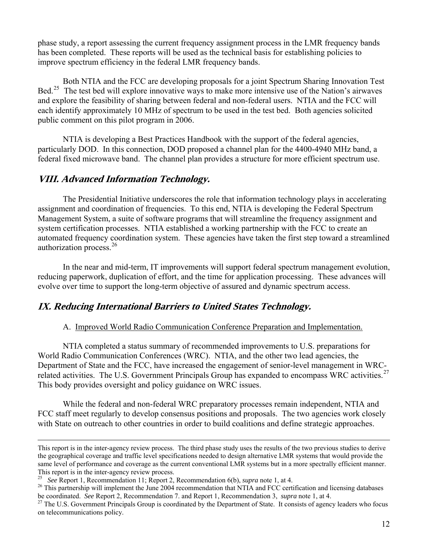phase study, a report assessing the current frequency assignment process in the LMR frequency bands has been completed. These reports will be used as the technical basis for establishing policies to improve spectrum efficiency in the federal LMR frequency bands.

 Both NTIA and the FCC are developing proposals for a joint Spectrum Sharing Innovation Test Bed.<sup>[25](#page-11-0)</sup> The test bed will explore innovative ways to make more intensive use of the Nation's airwaves and explore the feasibility of sharing between federal and non-federal users. NTIA and the FCC will each identify approximately 10 MHz of spectrum to be used in the test bed. Both agencies solicited public comment on this pilot program in 2006.

NTIA is developing a Best Practices Handbook with the support of the federal agencies, particularly DOD. In this connection, DOD proposed a channel plan for the 4400-4940 MHz band, a federal fixed microwave band. The channel plan provides a structure for more efficient spectrum use.

#### **VIII. Advanced Information Technology.**

The Presidential Initiative underscores the role that information technology plays in accelerating assignment and coordination of frequencies. To this end, NTIA is developing the Federal Spectrum Management System, a suite of software programs that will streamline the frequency assignment and system certification processes. NTIA established a working partnership with the FCC to create an automated frequency coordination system. These agencies have taken the first step toward a streamlined authorization process.[26](#page-11-1)

In the near and mid-term, IT improvements will support federal spectrum management evolution, reducing paperwork, duplication of effort, and the time for application processing. These advances will evolve over time to support the long-term objective of assured and dynamic spectrum access.

#### **IX. Reducing International Barriers to United States Technology.**

#### A. Improved World Radio Communication Conference Preparation and Implementation.

NTIA completed a status summary of recommended improvements to U.S. preparations for World Radio Communication Conferences (WRC). NTIA, and the other two lead agencies, the Department of State and the FCC, have increased the engagement of senior-level management in WRC-related activities. The U.S. Government Principals Group has expanded to encompass WRC activities.<sup>[27](#page-11-2)</sup> This body provides oversight and policy guidance on WRC issues.

While the federal and non-federal WRC preparatory processes remain independent, NTIA and FCC staff meet regularly to develop consensus positions and proposals. The two agencies work closely with State on outreach to other countries in order to build coalitions and define strategic approaches.

This report is in the inter-agency review process. The third phase study uses the results of the two previous studies to derive the geographical coverage and traffic level specifications needed to design alternative LMR systems that would provide the same level of performance and coverage as the current conventional LMR systems but in a more spectrally efficient manner. This report is in the inter-agency review process.<br>
<sup>25</sup> See Report 1, Recommendation 11; Report 2, Recommendation 6(b), *supra* note 1, at 4.

<span id="page-11-0"></span>

<span id="page-11-1"></span><sup>&</sup>lt;sup>26</sup> This partnership will implement the June 2004 recommendation that NTIA and FCC certification and licensing databases be coordinated. *See* Report 2, Recommendation 7. and Report 1, Recommendation 3, *supra* note 1, at

<span id="page-11-2"></span><sup>&</sup>lt;sup>27</sup> The U.S. Government Principals Group is coordinated by the Department of State. It consists of agency leaders who focus on telecommunications policy.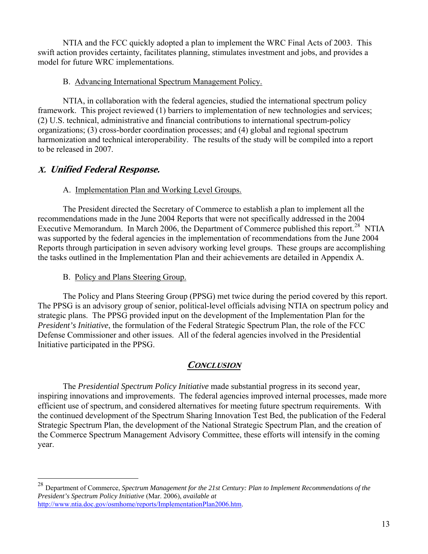NTIA and the FCC quickly adopted a plan to implement the WRC Final Acts of 2003. This swift action provides certainty, facilitates planning, stimulates investment and jobs, and provides a model for future WRC implementations.

#### B. Advancing International Spectrum Management Policy.

NTIA, in collaboration with the federal agencies, studied the international spectrum policy framework. This project reviewed (1) barriers to implementation of new technologies and services; (2) U.S. technical, administrative and financial contributions to international spectrum-policy organizations; (3) cross-border coordination processes; and (4) global and regional spectrum harmonization and technical interoperability. The results of the study will be compiled into a report to be released in 2007.

### **X. Unified Federal Response.**

 $\overline{a}$ 

#### A. Implementation Plan and Working Level Groups.

The President directed the Secretary of Commerce to establish a plan to implement all the recommendations made in the June 2004 Reports that were not specifically addressed in the 2004 Executive Memorandum. In March 2006, the Department of Commerce published this report.<sup>[28](#page-12-0)</sup> NTIA was supported by the federal agencies in the implementation of recommendations from the June 2004 Reports through participation in seven advisory working level groups. These groups are accomplishing the tasks outlined in the Implementation Plan and their achievements are detailed in Appendix A.

#### B. Policy and Plans Steering Group.

The Policy and Plans Steering Group (PPSG) met twice during the period covered by this report. The PPSG is an advisory group of senior, political-level officials advising NTIA on spectrum policy and strategic plans. The PPSG provided input on the development of the Implementation Plan for the *President's Initiative*, the formulation of the Federal Strategic Spectrum Plan, the role of the FCC Defense Commissioner and other issues. All of the federal agencies involved in the Presidential Initiative participated in the PPSG.

### **CONCLUSION**

The *Presidential Spectrum Policy Initiative* made substantial progress in its second year, inspiring innovations and improvements. The federal agencies improved internal processes, made more efficient use of spectrum, and considered alternatives for meeting future spectrum requirements. With the continued development of the Spectrum Sharing Innovation Test Bed, the publication of the Federal Strategic Spectrum Plan, the development of the National Strategic Spectrum Plan, and the creation of the Commerce Spectrum Management Advisory Committee, these efforts will intensify in the coming year.

<span id="page-12-0"></span><sup>28</sup> Department of Commerce, *Spectrum Management for the 21st Century: Plan to Implement Recommendations of the President's Spectrum Policy Initiative* (Mar. 2006), *available at* [http://www.ntia.doc.gov/osmhome/reports/ImplementationPlan2006.htm.](http://www.ntia.doc.gov/osmhome/reports/ImplementationPlan2006.htm)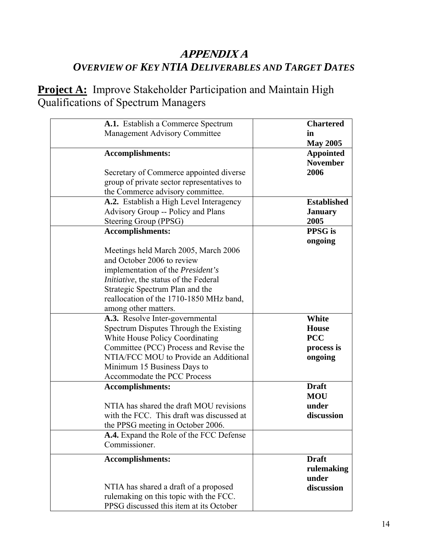## **APPENDIX A**  *OVERVIEW OF KEY NTIA DELIVERABLES AND TARGET DATES*

**Project A:** Improve Stakeholder Participation and Maintain High Qualifications of Spectrum Managers

| A.1. Establish a Commerce Spectrum            | <b>Chartered</b>   |
|-----------------------------------------------|--------------------|
| <b>Management Advisory Committee</b>          | in                 |
|                                               | <b>May 2005</b>    |
| <b>Accomplishments:</b>                       | <b>Appointed</b>   |
|                                               | <b>November</b>    |
|                                               |                    |
| Secretary of Commerce appointed diverse       | 2006               |
| group of private sector representatives to    |                    |
| the Commerce advisory committee.              |                    |
| A.2. Establish a High Level Interagency       | <b>Established</b> |
| Advisory Group -- Policy and Plans            | <b>January</b>     |
| Steering Group (PPSG)                         | 2005               |
| <b>Accomplishments:</b>                       | <b>PPSG</b> is     |
|                                               | ongoing            |
| Meetings held March 2005, March 2006          |                    |
| and October 2006 to review                    |                    |
| implementation of the President's             |                    |
| <i>Initiative</i> , the status of the Federal |                    |
|                                               |                    |
| Strategic Spectrum Plan and the               |                    |
| reallocation of the 1710-1850 MHz band,       |                    |
| among other matters.                          |                    |
| A.3. Resolve Inter-governmental               | White              |
| Spectrum Disputes Through the Existing        | <b>House</b>       |
| <b>White House Policy Coordinating</b>        | <b>PCC</b>         |
| Committee (PCC) Process and Revise the        | process is         |
| NTIA/FCC MOU to Provide an Additional         | ongoing            |
| Minimum 15 Business Days to                   |                    |
| Accommodate the PCC Process                   |                    |
| <b>Accomplishments:</b>                       | <b>Draft</b>       |
|                                               | <b>MOU</b>         |
| NTIA has shared the draft MOU revisions       | under              |
| with the FCC. This draft was discussed at     | discussion         |
| the PPSG meeting in October 2006.             |                    |
|                                               |                    |
| A.4. Expand the Role of the FCC Defense       |                    |
| Commissioner.                                 |                    |
| <b>Accomplishments:</b>                       | <b>Draft</b>       |
|                                               | rulemaking         |
|                                               | under              |
| NTIA has shared a draft of a proposed         | discussion         |
| rulemaking on this topic with the FCC.        |                    |
| PPSG discussed this item at its October       |                    |
|                                               |                    |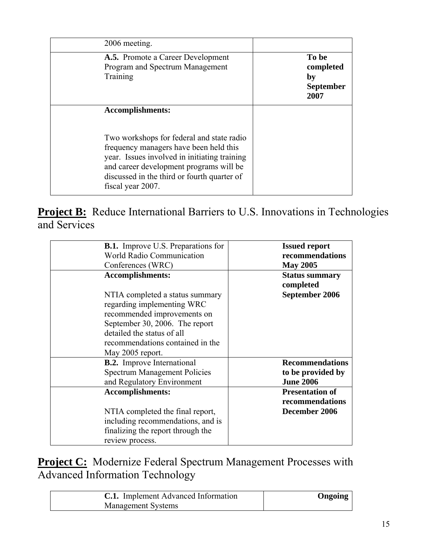| 2006 meeting.                                                                                                                                                                                                                                                                 |                                                      |
|-------------------------------------------------------------------------------------------------------------------------------------------------------------------------------------------------------------------------------------------------------------------------------|------------------------------------------------------|
| <b>A.5.</b> Promote a Career Development<br>Program and Spectrum Management<br>Training                                                                                                                                                                                       | To be<br>completed<br>by<br><b>September</b><br>2007 |
| <b>Accomplishments:</b><br>Two workshops for federal and state radio<br>frequency managers have been held this<br>year. Issues involved in initiating training<br>and career development programs will be<br>discussed in the third or fourth quarter of<br>fiscal year 2007. |                                                      |

**Project B:** Reduce International Barriers to U.S. Innovations in Technologies and Services

| <b>B.1.</b> Improve U.S. Preparations for                                                                                                                                                                                                       | <b>Issued report</b>                                       |
|-------------------------------------------------------------------------------------------------------------------------------------------------------------------------------------------------------------------------------------------------|------------------------------------------------------------|
| <b>World Radio Communication</b>                                                                                                                                                                                                                | recommendations                                            |
| Conferences (WRC)                                                                                                                                                                                                                               | <b>May 2005</b>                                            |
| <b>Accomplishments:</b><br>NTIA completed a status summary<br>regarding implementing WRC<br>recommended improvements on<br>September 30, 2006. The report<br>detailed the status of all<br>recommendations contained in the<br>May 2005 report. | <b>Status summary</b><br>completed<br>September 2006       |
| <b>B.2.</b> Improve International                                                                                                                                                                                                               | <b>Recommendations</b>                                     |
| <b>Spectrum Management Policies</b>                                                                                                                                                                                                             | to be provided by                                          |
| and Regulatory Environment                                                                                                                                                                                                                      | <b>June 2006</b>                                           |
| <b>Accomplishments:</b><br>NTIA completed the final report,<br>including recommendations, and is<br>finalizing the report through the<br>review process.                                                                                        | <b>Presentation of</b><br>recommendations<br>December 2006 |

**Project C:** Modernize Federal Spectrum Management Processes with Advanced Information Technology

| <b>C.1.</b> Implement Advanced Information | Ongoing |
|--------------------------------------------|---------|
| <b>Management Systems</b>                  |         |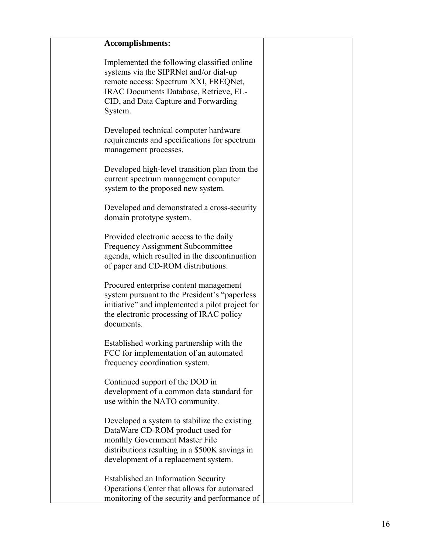| <b>Accomplishments:</b>                                                                                                                                                                                                     |  |
|-----------------------------------------------------------------------------------------------------------------------------------------------------------------------------------------------------------------------------|--|
| Implemented the following classified online<br>systems via the SIPRNet and/or dial-up<br>remote access: Spectrum XXI, FREQNet,<br>IRAC Documents Database, Retrieve, EL-<br>CID, and Data Capture and Forwarding<br>System. |  |
| Developed technical computer hardware<br>requirements and specifications for spectrum<br>management processes.                                                                                                              |  |
| Developed high-level transition plan from the<br>current spectrum management computer<br>system to the proposed new system.                                                                                                 |  |
| Developed and demonstrated a cross-security<br>domain prototype system.                                                                                                                                                     |  |
| Provided electronic access to the daily<br><b>Frequency Assignment Subcommittee</b><br>agenda, which resulted in the discontinuation<br>of paper and CD-ROM distributions.                                                  |  |
| Procured enterprise content management<br>system pursuant to the President's "paperless"<br>initiative" and implemented a pilot project for<br>the electronic processing of IRAC policy<br>documents.                       |  |
| Established working partnership with the<br>FCC for implementation of an automated<br>frequency coordination system.                                                                                                        |  |
| Continued support of the DOD in<br>development of a common data standard for<br>use within the NATO community.                                                                                                              |  |
| Developed a system to stabilize the existing<br>DataWare CD-ROM product used for<br>monthly Government Master File<br>distributions resulting in a \$500K savings in<br>development of a replacement system.                |  |
| <b>Established an Information Security</b><br>Operations Center that allows for automated<br>monitoring of the security and performance of                                                                                  |  |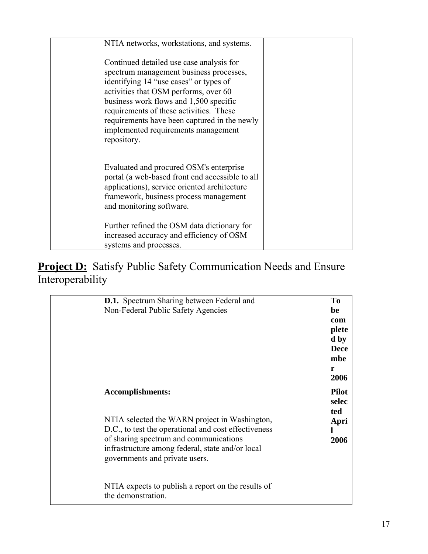| NTIA networks, workstations, and systems.                                                                                                                                                                                                                                                                                                                         |  |
|-------------------------------------------------------------------------------------------------------------------------------------------------------------------------------------------------------------------------------------------------------------------------------------------------------------------------------------------------------------------|--|
| Continued detailed use case analysis for<br>spectrum management business processes,<br>identifying 14 "use cases" or types of<br>activities that OSM performs, over 60<br>business work flows and 1,500 specific<br>requirements of these activities. These<br>requirements have been captured in the newly<br>implemented requirements management<br>repository. |  |
| Evaluated and procured OSM's enterprise<br>portal (a web-based front end accessible to all<br>applications), service oriented architecture<br>framework, business process management<br>and monitoring software.                                                                                                                                                  |  |
| Further refined the OSM data dictionary for<br>increased accuracy and efficiency of OSM<br>systems and processes.                                                                                                                                                                                                                                                 |  |

**Project D:** Satisfy Public Safety Communication Needs and Ensure Interoperability

| <b>D.1.</b> Spectrum Sharing between Federal and<br>Non-Federal Public Safety Agencies                                                                                                                                                                           | T <sub>0</sub><br>be<br>com<br>plete<br>d by<br><b>Dece</b><br>mbe<br>r<br>2006 |
|------------------------------------------------------------------------------------------------------------------------------------------------------------------------------------------------------------------------------------------------------------------|---------------------------------------------------------------------------------|
| <b>Accomplishments:</b><br>NTIA selected the WARN project in Washington,<br>D.C., to test the operational and cost effectiveness<br>of sharing spectrum and communications<br>infrastructure among federal, state and/or local<br>governments and private users. | <b>Pilot</b><br>selec<br>ted<br>Apri<br>2006                                    |
| NTIA expects to publish a report on the results of<br>the demonstration.                                                                                                                                                                                         |                                                                                 |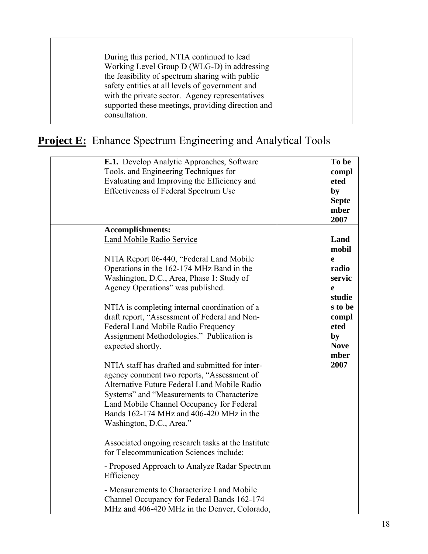| During this period, NTIA continued to lead        |  |
|---------------------------------------------------|--|
| Working Level Group D (WLG-D) in addressing       |  |
| the feasibility of spectrum sharing with public   |  |
| safety entities at all levels of government and   |  |
| with the private sector. Agency representatives   |  |
| supported these meetings, providing direction and |  |
| consultation                                      |  |
|                                                   |  |

## **Project E:** Enhance Spectrum Engineering and Analytical Tools

| E.1. Develop Analytic Approaches, Software<br>Tools, and Engineering Techniques for<br>Evaluating and Improving the Efficiency and<br><b>Effectiveness of Federal Spectrum Use</b>                                                                                                                                                                                                                                                                                                                                                                                                                                                                                                                                                                                                                                                                                                                                                                                                                                                                                          | To be<br>compl<br>eted<br>by<br><b>Septe</b><br>mber<br>2007                                                          |
|-----------------------------------------------------------------------------------------------------------------------------------------------------------------------------------------------------------------------------------------------------------------------------------------------------------------------------------------------------------------------------------------------------------------------------------------------------------------------------------------------------------------------------------------------------------------------------------------------------------------------------------------------------------------------------------------------------------------------------------------------------------------------------------------------------------------------------------------------------------------------------------------------------------------------------------------------------------------------------------------------------------------------------------------------------------------------------|-----------------------------------------------------------------------------------------------------------------------|
| <b>Accomplishments:</b><br>Land Mobile Radio Service<br>NTIA Report 06-440, "Federal Land Mobile<br>Operations in the 162-174 MHz Band in the<br>Washington, D.C., Area, Phase 1: Study of<br>Agency Operations" was published.<br>NTIA is completing internal coordination of a<br>draft report, "Assessment of Federal and Non-<br>Federal Land Mobile Radio Frequency<br>Assignment Methodologies." Publication is<br>expected shortly.<br>NTIA staff has drafted and submitted for inter-<br>agency comment two reports, "Assessment of<br>Alternative Future Federal Land Mobile Radio<br>Systems" and "Measurements to Characterize<br>Land Mobile Channel Occupancy for Federal<br>Bands 162-174 MHz and 406-420 MHz in the<br>Washington, D.C., Area."<br>Associated ongoing research tasks at the Institute<br>for Telecommunication Sciences include:<br>- Proposed Approach to Analyze Radar Spectrum<br>Efficiency<br>- Measurements to Characterize Land Mobile<br>Channel Occupancy for Federal Bands 162-174<br>MHz and 406-420 MHz in the Denver, Colorado, | Land<br>mobil<br>e<br>radio<br>servic<br>e<br>studie<br>s to be<br>compl<br>eted<br>by<br><b>Nove</b><br>mber<br>2007 |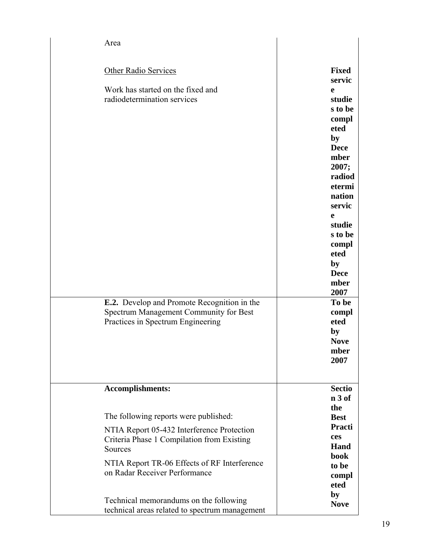| Area                                                                                                                                                                                                                          |                                                                                                                                                                                                                                                           |
|-------------------------------------------------------------------------------------------------------------------------------------------------------------------------------------------------------------------------------|-----------------------------------------------------------------------------------------------------------------------------------------------------------------------------------------------------------------------------------------------------------|
| Other Radio Services<br>Work has started on the fixed and<br>radiodetermination services<br><b>E.2.</b> Develop and Promote Recognition in the<br>Spectrum Management Community for Best<br>Practices in Spectrum Engineering | <b>Fixed</b><br>servic<br>e<br>studie<br>s to be<br>compl<br>eted<br>by<br><b>Dece</b><br>mber<br>2007;<br>radiod<br>etermi<br>nation<br>servic<br>e<br>studie<br>s to be<br>compl<br>eted<br>by<br><b>Dece</b><br>mber<br>2007<br>To be<br>compl<br>eted |
|                                                                                                                                                                                                                               | by<br><b>Nove</b><br>mber<br>2007                                                                                                                                                                                                                         |
| <b>Accomplishments:</b>                                                                                                                                                                                                       | <b>Sectio</b><br>$n3$ of                                                                                                                                                                                                                                  |
| The following reports were published:                                                                                                                                                                                         | the<br><b>Best</b>                                                                                                                                                                                                                                        |
| NTIA Report 05-432 Interference Protection<br>Criteria Phase 1 Compilation from Existing<br>Sources                                                                                                                           | Practi<br>ces<br>Hand<br>book                                                                                                                                                                                                                             |
| NTIA Report TR-06 Effects of RF Interference<br>on Radar Receiver Performance                                                                                                                                                 | to be<br>compl<br>eted                                                                                                                                                                                                                                    |
| Technical memorandums on the following<br>technical areas related to spectrum management                                                                                                                                      | by<br><b>Nove</b>                                                                                                                                                                                                                                         |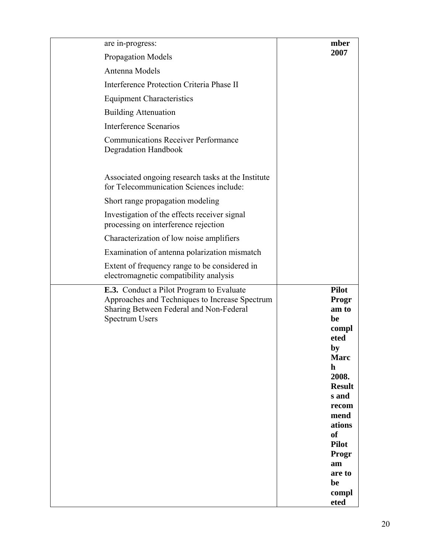| are in-progress:                                                                                                                                                      | mber                                                                                                                                                                                                                          |
|-----------------------------------------------------------------------------------------------------------------------------------------------------------------------|-------------------------------------------------------------------------------------------------------------------------------------------------------------------------------------------------------------------------------|
| <b>Propagation Models</b>                                                                                                                                             | 2007                                                                                                                                                                                                                          |
| Antenna Models                                                                                                                                                        |                                                                                                                                                                                                                               |
| Interference Protection Criteria Phase II                                                                                                                             |                                                                                                                                                                                                                               |
| <b>Equipment Characteristics</b>                                                                                                                                      |                                                                                                                                                                                                                               |
| <b>Building Attenuation</b>                                                                                                                                           |                                                                                                                                                                                                                               |
| <b>Interference Scenarios</b>                                                                                                                                         |                                                                                                                                                                                                                               |
| <b>Communications Receiver Performance</b><br><b>Degradation Handbook</b>                                                                                             |                                                                                                                                                                                                                               |
| Associated ongoing research tasks at the Institute<br>for Telecommunication Sciences include:                                                                         |                                                                                                                                                                                                                               |
| Short range propagation modeling                                                                                                                                      |                                                                                                                                                                                                                               |
| Investigation of the effects receiver signal<br>processing on interference rejection                                                                                  |                                                                                                                                                                                                                               |
| Characterization of low noise amplifiers                                                                                                                              |                                                                                                                                                                                                                               |
| Examination of antenna polarization mismatch                                                                                                                          |                                                                                                                                                                                                                               |
| Extent of frequency range to be considered in<br>electromagnetic compatibility analysis                                                                               |                                                                                                                                                                                                                               |
| <b>E.3.</b> Conduct a Pilot Program to Evaluate<br>Approaches and Techniques to Increase Spectrum<br>Sharing Between Federal and Non-Federal<br><b>Spectrum Users</b> | <b>Pilot</b><br>Progr<br>am to<br>be<br>compl<br>eted<br>by<br><b>Marc</b><br>$\mathbf h$<br>2008.<br><b>Result</b><br>s and<br>recom<br>mend<br>ations<br>of<br><b>Pilot</b><br>Progr<br>am<br>are to<br>be<br>compl<br>eted |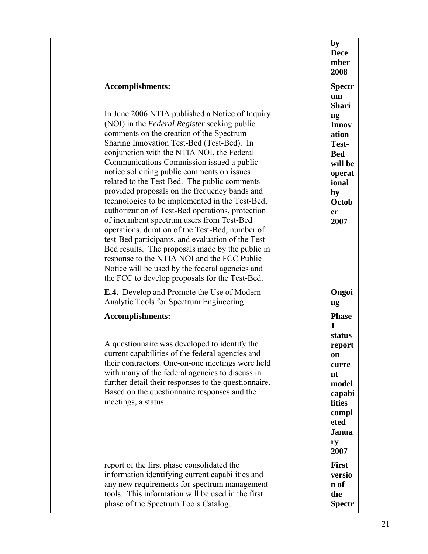| <b>Accomplishments:</b>                                                                                                                                                                                                                                                                                                                                           | by                                                                                                                                                |
|-------------------------------------------------------------------------------------------------------------------------------------------------------------------------------------------------------------------------------------------------------------------------------------------------------------------------------------------------------------------|---------------------------------------------------------------------------------------------------------------------------------------------------|
| In June 2006 NTIA published a Notice of Inquiry                                                                                                                                                                                                                                                                                                                   | <b>Dece</b>                                                                                                                                       |
| (NOI) in the Federal Register seeking public                                                                                                                                                                                                                                                                                                                      | mber                                                                                                                                              |
| comments on the creation of the Spectrum                                                                                                                                                                                                                                                                                                                          | 2008                                                                                                                                              |
| Sharing Innovation Test-Bed (Test-Bed). In                                                                                                                                                                                                                                                                                                                        | <b>Spectr</b>                                                                                                                                     |
| conjunction with the NTIA NOI, the Federal                                                                                                                                                                                                                                                                                                                        | um                                                                                                                                                |
| Communications Commission issued a public                                                                                                                                                                                                                                                                                                                         | <b>Shari</b>                                                                                                                                      |
| notice soliciting public comments on issues                                                                                                                                                                                                                                                                                                                       | $\mathbf{n}\mathbf{g}$                                                                                                                            |
| related to the Test-Bed. The public comments                                                                                                                                                                                                                                                                                                                      | <b>Innov</b>                                                                                                                                      |
| provided proposals on the frequency bands and                                                                                                                                                                                                                                                                                                                     | ation                                                                                                                                             |
| technologies to be implemented in the Test-Bed,                                                                                                                                                                                                                                                                                                                   | Test-                                                                                                                                             |
| authorization of Test-Bed operations, protection                                                                                                                                                                                                                                                                                                                  | <b>Bed</b>                                                                                                                                        |
| of incumbent spectrum users from Test-Bed                                                                                                                                                                                                                                                                                                                         | will be                                                                                                                                           |
| operations, duration of the Test-Bed, number of                                                                                                                                                                                                                                                                                                                   | operat                                                                                                                                            |
| test-Bed participants, and evaluation of the Test-                                                                                                                                                                                                                                                                                                                | ional                                                                                                                                             |
| Bed results. The proposals made by the public in                                                                                                                                                                                                                                                                                                                  | by                                                                                                                                                |
| response to the NTIA NOI and the FCC Public                                                                                                                                                                                                                                                                                                                       | Octob                                                                                                                                             |
| Notice will be used by the federal agencies and                                                                                                                                                                                                                                                                                                                   | er                                                                                                                                                |
| the FCC to develop proposals for the Test-Bed.                                                                                                                                                                                                                                                                                                                    | 2007                                                                                                                                              |
| <b>E.4.</b> Develop and Promote the Use of Modern                                                                                                                                                                                                                                                                                                                 | Ongoi                                                                                                                                             |
| Analytic Tools for Spectrum Engineering                                                                                                                                                                                                                                                                                                                           | ng                                                                                                                                                |
| <b>Accomplishments:</b><br>A question aire was developed to identify the<br>current capabilities of the federal agencies and<br>their contractors. One-on-one meetings were held<br>with many of the federal agencies to discuss in<br>further detail their responses to the questionnaire.<br>Based on the questionnaire responses and the<br>meetings, a status | <b>Phase</b><br>$\mathbf{1}$<br>status<br>report<br>on<br>curre<br>nt<br>model<br>capabi<br><b>lities</b><br>compl<br>eted<br>Janua<br>ry<br>2007 |
| report of the first phase consolidated the                                                                                                                                                                                                                                                                                                                        | <b>First</b>                                                                                                                                      |
| information identifying current capabilities and                                                                                                                                                                                                                                                                                                                  | versio                                                                                                                                            |
| any new requirements for spectrum management                                                                                                                                                                                                                                                                                                                      | n of                                                                                                                                              |
| tools. This information will be used in the first                                                                                                                                                                                                                                                                                                                 | the                                                                                                                                               |
| phase of the Spectrum Tools Catalog.                                                                                                                                                                                                                                                                                                                              | <b>Spectr</b>                                                                                                                                     |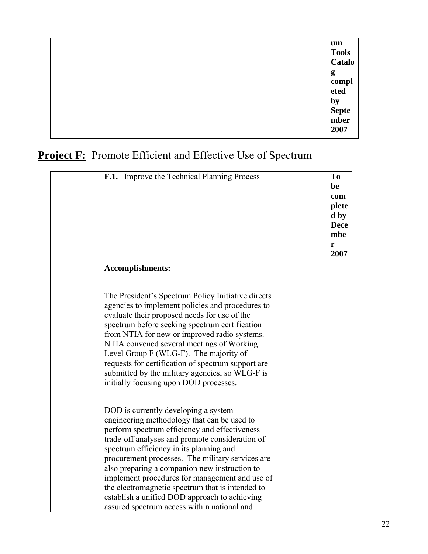| um<br><b>Tools</b><br><b>Catalo</b>               |
|---------------------------------------------------|
| g<br>compl<br>eted<br>by<br>Septe<br>mber<br>2007 |

## **Project F:** Promote Efficient and Effective Use of Spectrum

| <b>F.1.</b> Improve the Technical Planning Process                                                                                                                                                                                                                                                                                                                                                                                                                                                                                            | To<br>be<br>com<br>plete<br>d by<br><b>Dece</b><br>mbe<br>r<br>2007 |
|-----------------------------------------------------------------------------------------------------------------------------------------------------------------------------------------------------------------------------------------------------------------------------------------------------------------------------------------------------------------------------------------------------------------------------------------------------------------------------------------------------------------------------------------------|---------------------------------------------------------------------|
| <b>Accomplishments:</b>                                                                                                                                                                                                                                                                                                                                                                                                                                                                                                                       |                                                                     |
| The President's Spectrum Policy Initiative directs<br>agencies to implement policies and procedures to<br>evaluate their proposed needs for use of the<br>spectrum before seeking spectrum certification<br>from NTIA for new or improved radio systems.<br>NTIA convened several meetings of Working<br>Level Group F (WLG-F). The majority of<br>requests for certification of spectrum support are<br>submitted by the military agencies, so WLG-F is<br>initially focusing upon DOD processes.                                            |                                                                     |
| DOD is currently developing a system<br>engineering methodology that can be used to<br>perform spectrum efficiency and effectiveness<br>trade-off analyses and promote consideration of<br>spectrum efficiency in its planning and<br>procurement processes. The military services are<br>also preparing a companion new instruction to<br>implement procedures for management and use of<br>the electromagnetic spectrum that is intended to<br>establish a unified DOD approach to achieving<br>assured spectrum access within national and |                                                                     |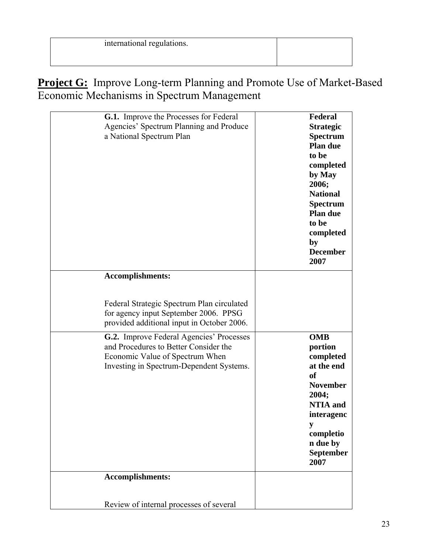| international regulations. |  |
|----------------------------|--|
|                            |  |

**Project G:** Improve Long-term Planning and Promote Use of Market-Based Economic Mechanisms in Spectrum Management

| a National Spectrum Plan | <b>G.1.</b> Improve the Processes for Federal<br>Agencies' Spectrum Planning and Produce                                                                         | Federal<br><b>Strategic</b><br><b>Spectrum</b><br><b>Plan due</b><br>to be<br>completed<br>by May<br>2006;<br><b>National</b><br><b>Spectrum</b><br>Plan due<br>to be<br>completed<br>by<br><b>December</b><br>2007 |
|--------------------------|------------------------------------------------------------------------------------------------------------------------------------------------------------------|---------------------------------------------------------------------------------------------------------------------------------------------------------------------------------------------------------------------|
| <b>Accomplishments:</b>  |                                                                                                                                                                  |                                                                                                                                                                                                                     |
|                          |                                                                                                                                                                  |                                                                                                                                                                                                                     |
|                          | Federal Strategic Spectrum Plan circulated<br>for agency input September 2006. PPSG<br>provided additional input in October 2006.                                |                                                                                                                                                                                                                     |
|                          | G.2. Improve Federal Agencies' Processes<br>and Procedures to Better Consider the<br>Economic Value of Spectrum When<br>Investing in Spectrum-Dependent Systems. | <b>OMB</b><br>portion<br>completed<br>at the end<br><b>of</b><br><b>November</b><br>2004;<br><b>NTIA</b> and<br>interagenc<br>y<br>completio<br>n due by<br><b>September</b><br>2007                                |
| Accomplishments:         |                                                                                                                                                                  |                                                                                                                                                                                                                     |
|                          |                                                                                                                                                                  |                                                                                                                                                                                                                     |
|                          | Review of internal processes of several                                                                                                                          |                                                                                                                                                                                                                     |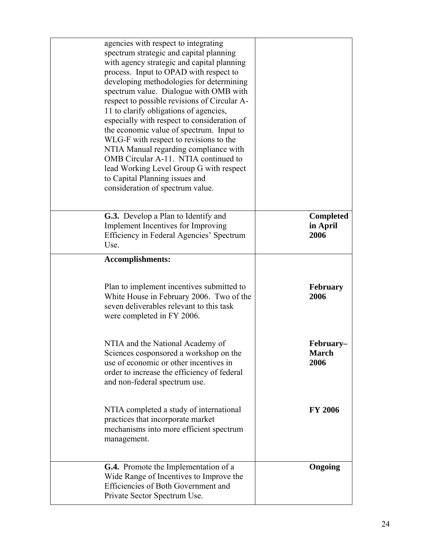| agencies with respect to integrating<br>spectrum strategic and capital planning<br>with agency strategic and capital planning<br>process. Input to OPAD with respect to<br>developing methodologies for determining<br>spectrum value. Dialogue with OMB with<br>respect to possible revisions of Circular A-<br>11 to clarify obligations of agencies,<br>especially with respect to consideration of<br>the economic value of spectrum. Input to<br>WLG-F with respect to revisions to the<br>NTIA Manual regarding compliance with<br>OMB Circular A-11. NTIA continued to<br>lead Working Level Group G with respect<br>to Capital Planning issues and<br>consideration of spectrum value. |                                      |
|------------------------------------------------------------------------------------------------------------------------------------------------------------------------------------------------------------------------------------------------------------------------------------------------------------------------------------------------------------------------------------------------------------------------------------------------------------------------------------------------------------------------------------------------------------------------------------------------------------------------------------------------------------------------------------------------|--------------------------------------|
| G.3. Develop a Plan to Identify and<br>Implement Incentives for Improving<br>Efficiency in Federal Agencies' Spectrum<br>Use.                                                                                                                                                                                                                                                                                                                                                                                                                                                                                                                                                                  | <b>Completed</b><br>in April<br>2006 |
| <b>Accomplishments:</b>                                                                                                                                                                                                                                                                                                                                                                                                                                                                                                                                                                                                                                                                        |                                      |
| Plan to implement incentives submitted to<br>White House in February 2006. Two of the<br>seven deliverables relevant to this task<br>were completed in FY 2006.                                                                                                                                                                                                                                                                                                                                                                                                                                                                                                                                | <b>February</b><br>2006              |
| NTIA and the National Academy of<br>Sciences cosponsored a workshop on the<br>use of economic or other incentives in<br>order to increase the efficiency of federal<br>and non-federal spectrum use.                                                                                                                                                                                                                                                                                                                                                                                                                                                                                           | February–<br><b>March</b><br>2006    |
| NTIA completed a study of international<br>practices that incorporate market<br>mechanisms into more efficient spectrum<br>management.                                                                                                                                                                                                                                                                                                                                                                                                                                                                                                                                                         | <b>FY 2006</b>                       |
| <b>G.4.</b> Promote the Implementation of a<br>Wide Range of Incentives to Improve the<br>Efficiencies of Both Government and<br>Private Sector Spectrum Use.                                                                                                                                                                                                                                                                                                                                                                                                                                                                                                                                  | Ongoing                              |